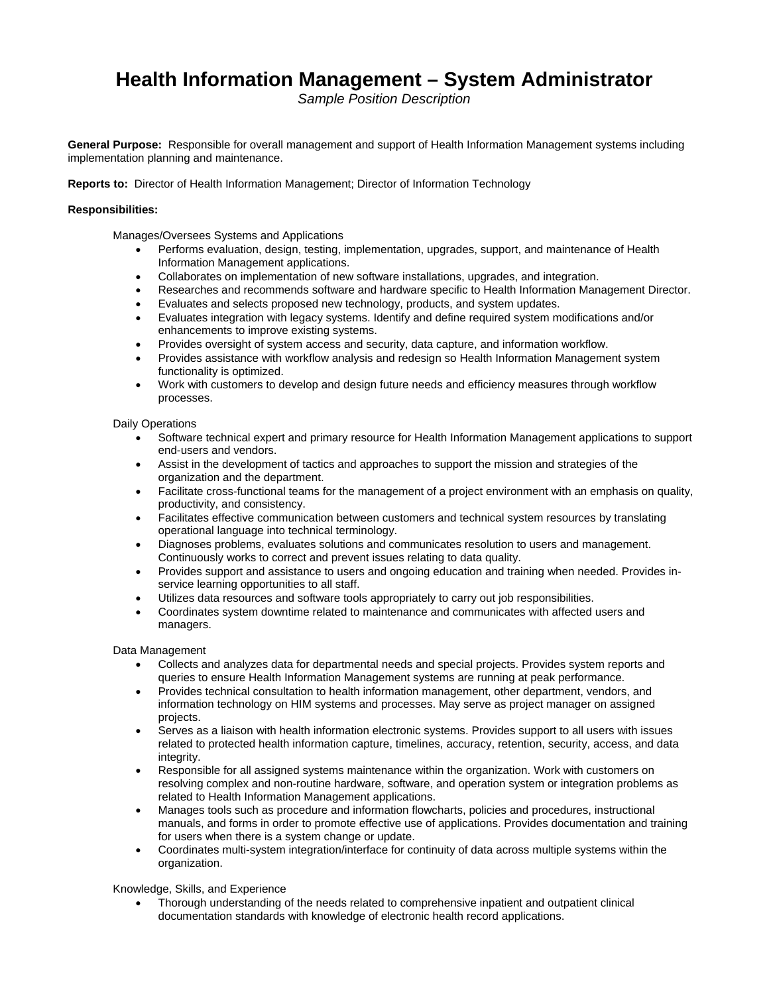# **Health Information Management – System Administrator**

*Sample Position Description* 

**General Purpose:** Responsible for overall management and support of Health Information Management systems including implementation planning and maintenance.

**Reports to:** Director of Health Information Management; Director of Information Technology

# **Responsibilities:**

Manages/Oversees Systems and Applications

- Performs evaluation, design, testing, implementation, upgrades, support, and maintenance of Health Information Management applications.
- Collaborates on implementation of new software installations, upgrades, and integration.
- Researches and recommends software and hardware specific to Health Information Management Director.
- Evaluates and selects proposed new technology, products, and system updates.
- Evaluates integration with legacy systems. Identify and define required system modifications and/or enhancements to improve existing systems.
- Provides oversight of system access and security, data capture, and information workflow.
- Provides assistance with workflow analysis and redesign so Health Information Management system functionality is optimized.
- Work with customers to develop and design future needs and efficiency measures through workflow processes.

### Daily Operations

- Software technical expert and primary resource for Health Information Management applications to support end-users and vendors.
- Assist in the development of tactics and approaches to support the mission and strategies of the organization and the department.
- Facilitate cross-functional teams for the management of a project environment with an emphasis on quality, productivity, and consistency.
- Facilitates effective communication between customers and technical system resources by translating operational language into technical terminology.
- Diagnoses problems, evaluates solutions and communicates resolution to users and management. Continuously works to correct and prevent issues relating to data quality.
- Provides support and assistance to users and ongoing education and training when needed. Provides inservice learning opportunities to all staff.
- Utilizes data resources and software tools appropriately to carry out job responsibilities.
- Coordinates system downtime related to maintenance and communicates with affected users and managers.

### Data Management

- Collects and analyzes data for departmental needs and special projects. Provides system reports and queries to ensure Health Information Management systems are running at peak performance.
- Provides technical consultation to health information management, other department, vendors, and information technology on HIM systems and processes. May serve as project manager on assigned projects.
- Serves as a liaison with health information electronic systems. Provides support to all users with issues related to protected health information capture, timelines, accuracy, retention, security, access, and data integrity.
- Responsible for all assigned systems maintenance within the organization. Work with customers on resolving complex and non-routine hardware, software, and operation system or integration problems as related to Health Information Management applications.
- Manages tools such as procedure and information flowcharts, policies and procedures, instructional manuals, and forms in order to promote effective use of applications. Provides documentation and training for users when there is a system change or update.
- Coordinates multi-system integration/interface for continuity of data across multiple systems within the organization.

### Knowledge, Skills, and Experience

 Thorough understanding of the needs related to comprehensive inpatient and outpatient clinical documentation standards with knowledge of electronic health record applications.